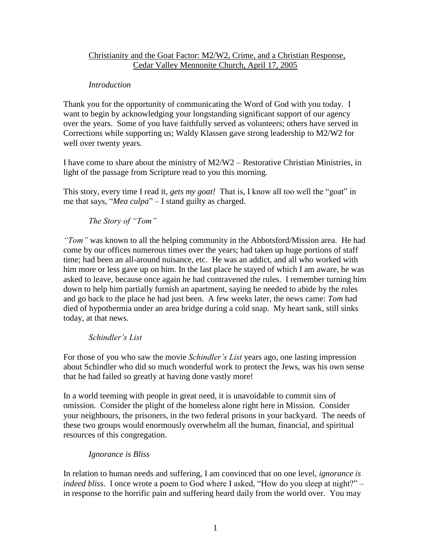# Christianity and the Goat Factor: M2/W2, Crime, and a Christian Response, Cedar Valley Mennonite Church, April 17, 2005

## *Introduction*

Thank you for the opportunity of communicating the Word of God with you today. I want to begin by acknowledging your longstanding significant support of our agency over the years. Some of you have faithfully served as volunteers; others have served in Corrections while supporting us; Waldy Klassen gave strong leadership to M2/W2 for well over twenty years.

I have come to share about the ministry of M2/W2 – Restorative Christian Ministries, in light of the passage from Scripture read to you this morning.

This story, every time I read it, *gets my goat!* That is, I know all too well the "goat" in me that says, "*Mea culpa*" – I stand guilty as charged.

*The Story of "Tom"*

*"Tom"* was known to all the helping community in the Abbotsford/Mission area. He had come by our offices numerous times over the years; had taken up huge portions of staff time; had been an all-around nuisance, etc. He was an addict, and all who worked with him more or less gave up on him. In the last place he stayed of which I am aware, he was asked to leave, because once again he had contravened the rules. I remember turning him down to help him partially furnish an apartment, saying he needed to abide by the rules and go back to the place he had just been. A few weeks later, the news came: *Tom* had died of hypothermia under an area bridge during a cold snap. My heart sank, still sinks today, at that news.

*Schindler's List*

For those of you who saw the movie *Schindler's List* years ago, one lasting impression about Schindler who did so much wonderful work to protect the Jews, was his own sense that he had failed so greatly at having done vastly more!

In a world teeming with people in great need, it is unavoidable to commit sins of omission. Consider the plight of the homeless alone right here in Mission. Consider your neighbours, the prisoners, in the two federal prisons in your backyard. The needs of these two groups would enormously overwhelm all the human, financial, and spiritual resources of this congregation.

# *Ignorance is Bliss*

In relation to human needs and suffering, I am convinced that on one level, *ignorance is indeed bliss*. I once wrote a poem to God where I asked, "How do you sleep at night?" – in response to the horrific pain and suffering heard daily from the world over. You may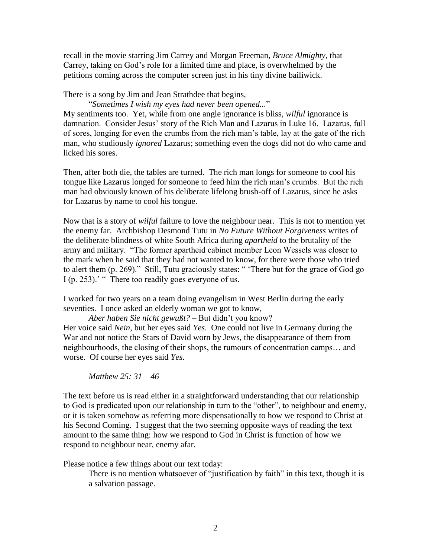recall in the movie starring Jim Carrey and Morgan Freeman, *Bruce Almighty*, that Carrey, taking on God's role for a limited time and place, is overwhelmed by the petitions coming across the computer screen just in his tiny divine bailiwick.

There is a song by Jim and Jean Strathdee that begins,

"*Sometimes I wish my eyes had never been opened...*" My sentiments too. Yet, while from one angle ignorance is bliss, *wilful* ignorance is damnation. Consider Jesus' story of the Rich Man and Lazarus in Luke 16. Lazarus, full of sores, longing for even the crumbs from the rich man's table, lay at the gate of the rich man, who studiously *ignored* Lazarus; something even the dogs did not do who came and licked his sores.

Then, after both die, the tables are turned. The rich man longs for someone to cool his tongue like Lazarus longed for someone to feed him the rich man's crumbs. But the rich man had obviously known of his deliberate lifelong brush-off of Lazarus, since he asks for Lazarus by name to cool his tongue.

Now that is a story of *wilful* failure to love the neighbour near. This is not to mention yet the enemy far. Archbishop Desmond Tutu in *No Future Without Forgiveness* writes of the deliberate blindness of white South Africa during *apartheid* to the brutality of the army and military. "The former apartheid cabinet member Leon Wessels was closer to the mark when he said that they had not wanted to know, for there were those who tried to alert them (p. 269)." Still, Tutu graciously states: " 'There but for the grace of God go I (p. 253).' " There too readily goes everyone of us.

I worked for two years on a team doing evangelism in West Berlin during the early seventies. I once asked an elderly woman we got to know,

*Aber haben Sie nicht gewußt?* – But didn't you know?

Her voice said *Nein*, but her eyes said *Yes*. One could not live in Germany during the War and not notice the Stars of David worn by Jews, the disappearance of them from neighbourhoods, the closing of their shops, the rumours of concentration camps… and worse. Of course her eyes said *Yes*.

*Matthew 25: 31 – 46*

The text before us is read either in a straightforward understanding that our relationship to God is predicated upon our relationship in turn to the "other", to neighbour and enemy, or it is taken somehow as referring more dispensationally to how we respond to Christ at his Second Coming. I suggest that the two seeming opposite ways of reading the text amount to the same thing: how we respond to God in Christ is function of how we respond to neighbour near, enemy afar.

Please notice a few things about our text today:

There is no mention whatsoever of "justification by faith" in this text, though it is a salvation passage.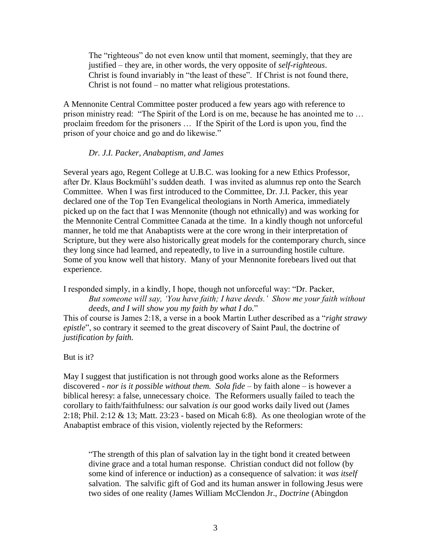The "righteous" do not even know until that moment, seemingly, that they are justified – they are, in other words, the very opposite of *self-righteous*. Christ is found invariably in "the least of these". If Christ is not found there, Christ is not found – no matter what religious protestations.

A Mennonite Central Committee poster produced a few years ago with reference to prison ministry read: "The Spirit of the Lord is on me, because he has anointed me to … proclaim freedom for the prisoners … If the Spirit of the Lord is upon you, find the prison of your choice and go and do likewise."

#### *Dr. J.I. Packer, Anabaptism, and James*

Several years ago, Regent College at U.B.C. was looking for a new Ethics Professor, after Dr. Klaus Bockmühl's sudden death. I was invited as alumnus rep onto the Search Committee. When I was first introduced to the Committee, Dr. J.I. Packer, this year declared one of the Top Ten Evangelical theologians in North America, immediately picked up on the fact that I was Mennonite (though not ethnically) and was working for the Mennonite Central Committee Canada at the time. In a kindly though not unforceful manner, he told me that Anabaptists were at the core wrong in their interpretation of Scripture, but they were also historically great models for the contemporary church, since they long since had learned, and repeatedly, to live in a surrounding hostile culture. Some of you know well that history. Many of your Mennonite forebears lived out that experience.

I responded simply, in a kindly, I hope, though not unforceful way: "Dr. Packer, *But someone will say, 'You have faith; I have deeds.' Show me your faith without deeds, and I will show you my faith by what I do.*"

This of course is James 2:18, a verse in a book Martin Luther described as a "*right strawy epistle*", so contrary it seemed to the great discovery of Saint Paul, the doctrine of *justification by faith.*

#### But is it?

May I suggest that justification is not through good works alone as the Reformers discovered - *nor is it possible without them. Sola fide* – by faith alone – is however a biblical heresy: a false, unnecessary choice. The Reformers usually failed to teach the corollary to faith/faithfulness: our salvation *is* our good works daily lived out (James 2:18; Phil. 2:12 & 13; Matt. 23:23 - based on Micah 6:8). As one theologian wrote of the Anabaptist embrace of this vision, violently rejected by the Reformers:

"The strength of this plan of salvation lay in the tight bond it created between divine grace and a total human response. Christian conduct did not follow (by some kind of inference or induction) as a consequence of salvation: it *was itself*  salvation. The salvific gift of God and its human answer in following Jesus were two sides of one reality (James William McClendon Jr., *Doctrine* (Abingdon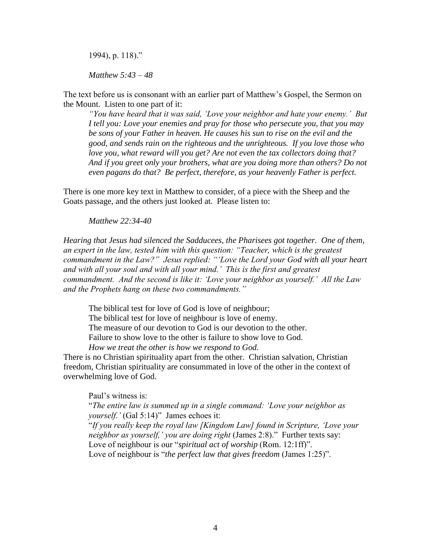1994), p. 118)."

*Matthew 5:43 – 48*

The text before us is consonant with an earlier part of Matthew's Gospel, the Sermon on the Mount. Listen to one part of it:

*"You have heard that it was said, 'Love your neighbor and hate your enemy.' But I tell you: Love your enemies and pray for those who persecute you, that you may be sons of your Father in heaven. He causes his sun to rise on the evil and the good, and sends rain on the righteous and the unrighteous. If you love those who love you, what reward will you get? Are not even the tax collectors doing that? And if you greet only your brothers, what are you doing more than others? Do not even pagans do that? Be perfect, therefore, as your heavenly Father is perfect.*

There is one more key text in Matthew to consider, of a piece with the Sheep and the Goats passage, and the others just looked at. Please listen to:

*Matthew 22:34-40*

*Hearing that Jesus had silenced the Sadducees, the Pharisees got together. One of them, an expert in the law, tested him with this question: "Teacher, which is the greatest commandment in the Law?" Jesus replied: "'Love the Lord your God with all your heart and with all your soul and with all your mind.' This is the first and greatest commandment. And the second is like it: 'Love your neighbor as yourself.' All the Law and the Prophets hang on these two commandments."*

The biblical test for love of God is love of neighbour;

The biblical test for love of neighbour is love of enemy.

The measure of our devotion to God is our devotion to the other.

Failure to show love to the other is failure to show love to God.

*How we treat the other is how we respond to God.* 

There is no Christian spirituality apart from the other. Christian salvation, Christian freedom, Christian spirituality are consummated in love of the other in the context of overwhelming love of God.

Paul's witness is:

"*The entire law is summed up in a single command: 'Love your neighbor as yourself.'* (Gal 5:14)" James echoes it:

"*If you really keep the royal law [Kingdom Law] found in Scripture, 'Love your neighbor as yourself,' you are doing right* (James 2:8)." Further texts say: Love of neighbour is our "*spiritual act of worship* (Rom. 12:1ff)". Love of neighbour is "*the perfect law that gives freedom* (James 1:25)".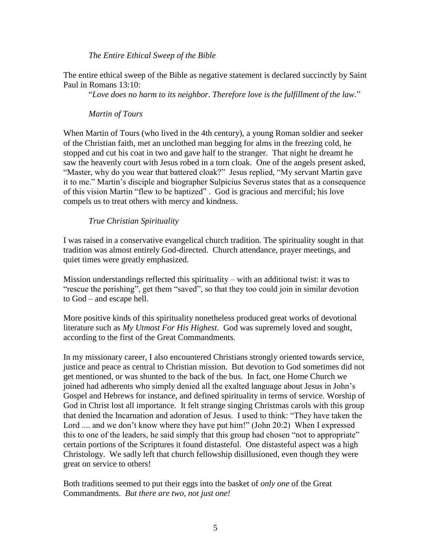#### *The Entire Ethical Sweep of the Bible*

The entire ethical sweep of the Bible as negative statement is declared succinctly by Saint Paul in Romans 13:10:

"*Love does no harm to its neighbor. Therefore love is the fulfillment of the law.*"

#### *Martin of Tours*

When Martin of Tours (who lived in the 4th century), a young Roman soldier and seeker of the Christian faith, met an unclothed man begging for alms in the freezing cold, he stopped and cut his coat in two and gave half to the stranger. That night he dreamt he saw the heavenly court with Jesus robed in a torn cloak. One of the angels present asked, "Master, why do you wear that battered cloak?" Jesus replied, "My servant Martin gave it to me." Martin's disciple and biographer Sulpicius Severus states that as a consequence of this vision Martin "flew to be baptized" . God is gracious and merciful; his love compels us to treat others with mercy and kindness.

#### *True Christian Spirituality*

I was raised in a conservative evangelical church tradition. The spirituality sought in that tradition was almost entirely God-directed. Church attendance, prayer meetings, and quiet times were greatly emphasized.

Mission understandings reflected this spirituality – with an additional twist: it was to "rescue the perishing", get them "saved", so that they too could join in similar devotion to God – and escape hell.

More positive kinds of this spirituality nonetheless produced great works of devotional literature such as *My Utmost For His Highest*. God was supremely loved and sought, according to the first of the Great Commandments.

In my missionary career, I also encountered Christians strongly oriented towards service, justice and peace as central to Christian mission. But devotion to God sometimes did not get mentioned, or was shunted to the back of the bus. In fact, one Home Church we joined had adherents who simply denied all the exalted language about Jesus in John's Gospel and Hebrews for instance, and defined spirituality in terms of service. Worship of God in Christ lost all importance. It felt strange singing Christmas carols with this group that denied the Incarnation and adoration of Jesus. I used to think: "They have taken the Lord .... and we don't know where they have put him!" (John 20:2) When I expressed this to one of the leaders, he said simply that this group had chosen "not to appropriate" certain portions of the Scriptures it found distasteful. One distasteful aspect was a high Christology. We sadly left that church fellowship disillusioned, even though they were great on service to others!

Both traditions seemed to put their eggs into the basket of *only one* of the Great Commandments. *But there are two, not just one!*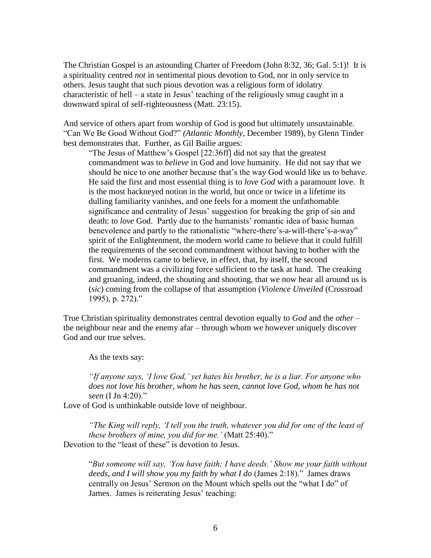The Christian Gospel is an astounding Charter of Freedom (John 8:32, 36; Gal. 5:1)! It is a spirituality centred *not* in sentimental pious devotion to God, nor in only service to others. Jesus taught that such pious devotion was a religious form of idolatry characteristic of hell – a state in Jesus' teaching of the religiously smug caught in a downward spiral of self-righteousness (Matt. 23:15).

And service of others apart from worship of God is good but ultimately unsustainable. "Can We Be Good Without God?" *(Atlantic Monthly*, December 1989), by Glenn Tinder best demonstrates that. Further, as Gil Bailie argues:

"The Jesus of Matthew's Gospel [22:36ff] did not say that the greatest commandment was to *believe* in God and love humanity. He did not say that we should be nice to one another because that's the way God would like us to behave. He said the first and most essential thing is to *love God* with a paramount love. It is the most hackneyed notion in the world, but once or twice in a lifetime its dulling familiarity vanishes, and one feels for a moment the unfathomable significance and centrality of Jesus' suggestion for breaking the grip of sin and death: to *love* God. Partly due to the humanists' romantic idea of basic human benevolence and partly to the rationalistic "where-there's-a-will-there's-a-way" spirit of the Enlightenment, the modern world came to believe that it could fulfill the requirements of the second commandment without having to bother with the first. We moderns came to believe, in effect, that, by itself, the second commandment was a civilizing force sufficient to the task at hand. The creaking and groaning, indeed, the shouting and shooting, that we now hear all around us is (*sic*) coming from the collapse of that assumption (*Violence Unveiled* (Crossroad 1995), p. 272)."

True Christian spirituality demonstrates central devotion equally to *God* and the *other* – the neighbour near and the enemy afar – through whom we however uniquely discover God and our true selves.

As the texts say:

*"If anyone says, 'I love God,' yet hates his brother, he is a liar. For anyone who does not love his brother, whom he has seen, cannot love God, whom he has not seen* (I Jn 4:20)."

Love of God is unthinkable outside love of neighbour.

*"The King will reply, 'I tell you the truth, whatever you did for one of the least of these brothers of mine, you did for me.'* (Matt 25:40)." Devotion to the "least of these" is devotion to Jesus.

"*But someone will say, 'You have faith; I have deeds.' Show me your faith without deeds, and I will show you my faith by what I do* (James 2:18)." James draws centrally on Jesus' Sermon on the Mount which spells out the "what I do" of James. James is reiterating Jesus' teaching: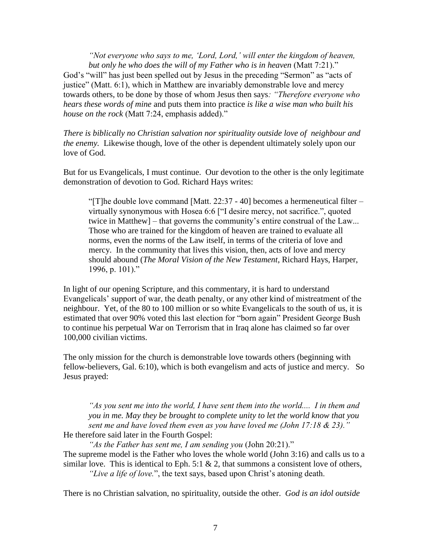*"Not everyone who says to me, 'Lord, Lord,' will enter the kingdom of heaven, but only he who does the will of my Father who is in heaven* (Matt 7:21)." God's "will" has just been spelled out by Jesus in the preceding "Sermon" as "acts of justice" (Matt. 6:1), which in Matthew are invariably demonstrable love and mercy towards others, to be done by those of whom Jesus then says*: "Therefore everyone who hears these words of mine* and puts them into practice *is like a wise man who built his house on the rock* (Matt 7:24, emphasis added)."

*There is biblically no Christian salvation nor spirituality outside love of neighbour and the enemy.* Likewise though, love of the other is dependent ultimately solely upon our love of God.

But for us Evangelicals, I must continue. Our devotion to the other is the only legitimate demonstration of devotion to God. Richard Hays writes:

"[T]he double love command [Matt. 22:37 - 40] becomes a hermeneutical filter – virtually synonymous with Hosea 6:6 ["I desire mercy, not sacrifice.", quoted twice in Matthew] – that governs the community's entire construal of the Law... Those who are trained for the kingdom of heaven are trained to evaluate all norms, even the norms of the Law itself, in terms of the criteria of love and mercy. In the community that lives this vision, then, acts of love and mercy should abound (*The Moral Vision of the New Testament*, Richard Hays, Harper, 1996, p. 101)."

In light of our opening Scripture, and this commentary, it is hard to understand Evangelicals' support of war, the death penalty, or any other kind of mistreatment of the neighbour. Yet, of the 80 to 100 million or so white Evangelicals to the south of us, it is estimated that over 90% voted this last election for "born again" President George Bush to continue his perpetual War on Terrorism that in Iraq alone has claimed so far over 100,000 civilian victims.

The only mission for the church is demonstrable love towards others (beginning with fellow-believers, Gal. 6:10), which is both evangelism and acts of justice and mercy. So Jesus prayed:

*"As you sent me into the world, I have sent them into the world.... I in them and you in me. May they be brought to complete unity to let the world know that you sent me and have loved them even as you have loved me (John 17:18 & 23)."*  He therefore said later in the Fourth Gospel:

*"As the Father has sent me, I am sending you* (John 20:21)." The supreme model is the Father who loves the whole world (John 3:16) and calls us to a similar love. This is identical to Eph. 5:1  $\&$  2, that summons a consistent love of others,

*"Live a life of love.*", the text says, based upon Christ's atoning death.

There is no Christian salvation, no spirituality, outside the other. *God is an idol outside*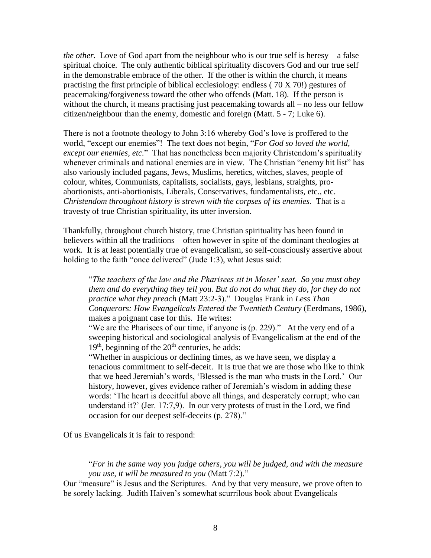*the other.* Love of God apart from the neighbour who is our true self is heresy – a false spiritual choice. The only authentic biblical spirituality discovers God and our true self in the demonstrable embrace of the other. If the other is within the church, it means practising the first principle of biblical ecclesiology: endless ( 70 X 70!) gestures of peacemaking/forgiveness toward the other who offends (Matt. 18). If the person is without the church, it means practising just peacemaking towards all – no less our fellow citizen/neighbour than the enemy, domestic and foreign (Matt. 5 - 7; Luke 6).

There is not a footnote theology to John 3:16 whereby God's love is proffered to the world, "except our enemies"! The text does not begin, "*For God so loved the world, except our enemies, etc.*" That has nonetheless been majority Christendom's spirituality whenever criminals and national enemies are in view. The Christian "enemy hit list" has also variously included pagans, Jews, Muslims, heretics, witches, slaves, people of colour, whites, Communists, capitalists, socialists, gays, lesbians, straights, proabortionists, anti-abortionists, Liberals, Conservatives, fundamentalists, etc., etc. *Christendom throughout history is strewn with the corpses of its enemies.* That is a travesty of true Christian spirituality, its utter inversion.

Thankfully, throughout church history, true Christian spirituality has been found in believers within all the traditions – often however in spite of the dominant theologies at work. It is at least potentially true of evangelicalism, so self-consciously assertive about holding to the faith "once delivered" (Jude 1:3), what Jesus said:

"*The teachers of the law and the Pharisees sit in Moses' seat. So you must obey them and do everything they tell you. But do not do what they do, for they do not practice what they preach* (Matt 23:2-3)." Douglas Frank in *Less Than Conquerors: How Evangelicals Entered the Twentieth Century* (Eerdmans, 1986), makes a poignant case for this. He writes:

"We are the Pharisees of our time, if anyone is (p. 229)." At the very end of a sweeping historical and sociological analysis of Evangelicalism at the end of the  $19<sup>th</sup>$ , beginning of the  $20<sup>th</sup>$  centuries, he adds:

"Whether in auspicious or declining times, as we have seen, we display a tenacious commitment to self-deceit. It is true that we are those who like to think that we heed Jeremiah's words, 'Blessed is the man who trusts in the Lord.' Our history, however, gives evidence rather of Jeremiah's wisdom in adding these words: 'The heart is deceitful above all things, and desperately corrupt; who can understand it?' (Jer. 17:7,9). In our very protests of trust in the Lord, we find occasion for our deepest self-deceits (p. 278)."

Of us Evangelicals it is fair to respond:

"*For in the same way you judge others, you will be judged, and with the measure you use, it will be measured to you* (Matt 7:2)."

Our "measure" is Jesus and the Scriptures. And by that very measure, we prove often to be sorely lacking. Judith Haiven's somewhat scurrilous book about Evangelicals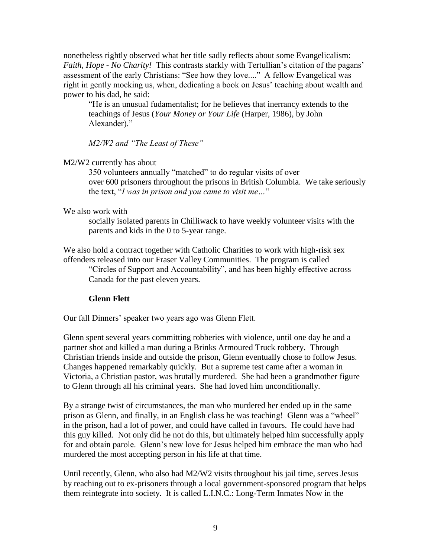nonetheless rightly observed what her title sadly reflects about some Evangelicalism: *Faith, Hope - No Charity!* This contrasts starkly with Tertullian's citation of the pagans' assessment of the early Christians: "See how they love...." A fellow Evangelical was right in gently mocking us, when, dedicating a book on Jesus' teaching about wealth and power to his dad, he said:

"He is an unusual fudamentalist; for he believes that inerrancy extends to the teachings of Jesus (*Your Money or Your Life* (Harper, 1986), by John Alexander)."

*M2/W2 and "The Least of These"*

#### M2/W2 currently has about

350 volunteers annually "matched" to do regular visits of over over 600 prisoners throughout the prisons in British Columbia. We take seriously the text, "*I was in prison and you came to visit me…*"

#### We also work with

socially isolated parents in Chilliwack to have weekly volunteer visits with the parents and kids in the 0 to 5-year range.

We also hold a contract together with Catholic Charities to work with high-risk sex offenders released into our Fraser Valley Communities. The program is called

"Circles of Support and Accountability", and has been highly effective across Canada for the past eleven years.

# **Glenn Flett**

Our fall Dinners' speaker two years ago was Glenn Flett.

Glenn spent several years committing robberies with violence, until one day he and a partner shot and killed a man during a Brinks Armoured Truck robbery. Through Christian friends inside and outside the prison, Glenn eventually chose to follow Jesus. Changes happened remarkably quickly. But a supreme test came after a woman in Victoria, a Christian pastor, was brutally murdered. She had been a grandmother figure to Glenn through all his criminal years. She had loved him unconditionally.

By a strange twist of circumstances, the man who murdered her ended up in the same prison as Glenn, and finally, in an English class he was teaching! Glenn was a "wheel" in the prison, had a lot of power, and could have called in favours. He could have had this guy killed. Not only did he not do this, but ultimately helped him successfully apply for and obtain parole. Glenn's new love for Jesus helped him embrace the man who had murdered the most accepting person in his life at that time.

Until recently, Glenn, who also had M2/W2 visits throughout his jail time, serves Jesus by reaching out to ex-prisoners through a local government-sponsored program that helps them reintegrate into society. It is called L.I.N.C.: Long-Term Inmates Now in the